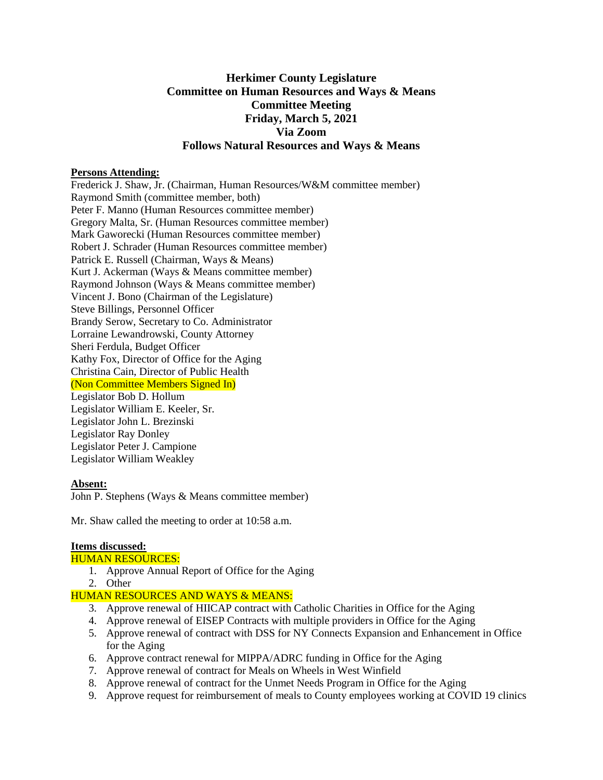# **Herkimer County Legislature Committee on Human Resources and Ways & Means Committee Meeting Friday, March 5, 2021 Via Zoom Follows Natural Resources and Ways & Means**

## **Persons Attending:**

Frederick J. Shaw, Jr. (Chairman, Human Resources/W&M committee member) Raymond Smith (committee member, both) Peter F. Manno (Human Resources committee member) Gregory Malta, Sr. (Human Resources committee member) Mark Gaworecki (Human Resources committee member) Robert J. Schrader (Human Resources committee member) Patrick E. Russell (Chairman, Ways & Means) Kurt J. Ackerman (Ways & Means committee member) Raymond Johnson (Ways & Means committee member) Vincent J. Bono (Chairman of the Legislature) Steve Billings, Personnel Officer Brandy Serow, Secretary to Co. Administrator Lorraine Lewandrowski, County Attorney Sheri Ferdula, Budget Officer Kathy Fox, Director of Office for the Aging Christina Cain, Director of Public Health (Non Committee Members Signed In) Legislator Bob D. Hollum Legislator William E. Keeler, Sr. Legislator John L. Brezinski Legislator Ray Donley Legislator Peter J. Campione Legislator William Weakley

# **Absent:**

John P. Stephens (Ways & Means committee member)

Mr. Shaw called the meeting to order at 10:58 a.m.

#### **Items discussed:**

# HUMAN RESOURCES:

- 1. Approve Annual Report of Office for the Aging
- 2. Other

# HUMAN RESOURCES AND WAYS & MEANS:

- 3. Approve renewal of HIICAP contract with Catholic Charities in Office for the Aging
- 4. Approve renewal of EISEP Contracts with multiple providers in Office for the Aging
- 5. Approve renewal of contract with DSS for NY Connects Expansion and Enhancement in Office for the Aging
- 6. Approve contract renewal for MIPPA/ADRC funding in Office for the Aging
- 7. Approve renewal of contract for Meals on Wheels in West Winfield
- 8. Approve renewal of contract for the Unmet Needs Program in Office for the Aging
- 9. Approve request for reimbursement of meals to County employees working at COVID 19 clinics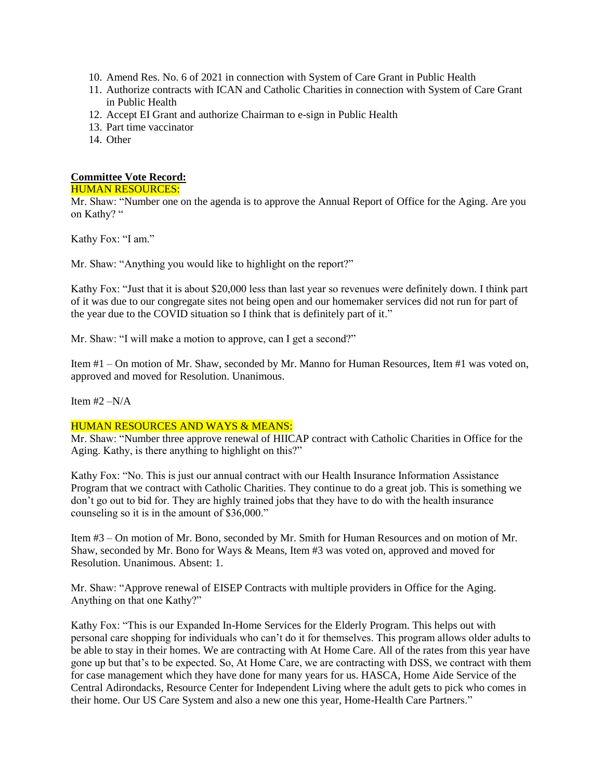- 10. Amend Res. No. 6 of 2021 in connection with System of Care Grant in Public Health
- 11. Authorize contracts with ICAN and Catholic Charities in connection with System of Care Grant in Public Health
- 12. Accept EI Grant and authorize Chairman to e-sign in Public Health
- 13. Part time vaccinator
- 14. Other

# **Committee Vote Record:**

## HUMAN RESOURCES:

Mr. Shaw: "Number one on the agenda is to approve the Annual Report of Office for the Aging. Are you on Kathy? "

Kathy Fox: "I am."

Mr. Shaw: "Anything you would like to highlight on the report?"

Kathy Fox: "Just that it is about \$20,000 less than last year so revenues were definitely down. I think part of it was due to our congregate sites not being open and our homemaker services did not run for part of the year due to the COVID situation so I think that is definitely part of it."

Mr. Shaw: "I will make a motion to approve, can I get a second?"

Item #1 – On motion of Mr. Shaw, seconded by Mr. Manno for Human Resources, Item #1 was voted on, approved and moved for Resolution. Unanimous.

Item  $#2 - N/A$ 

# HUMAN RESOURCES AND WAYS & MEANS:

Mr. Shaw: "Number three approve renewal of HIICAP contract with Catholic Charities in Office for the Aging. Kathy, is there anything to highlight on this?"

Kathy Fox: "No. This is just our annual contract with our Health Insurance Information Assistance Program that we contract with Catholic Charities. They continue to do a great job. This is something we don't go out to bid for. They are highly trained jobs that they have to do with the health insurance counseling so it is in the amount of \$36,000."

Item #3 – On motion of Mr. Bono, seconded by Mr. Smith for Human Resources and on motion of Mr. Shaw, seconded by Mr. Bono for Ways & Means, Item #3 was voted on, approved and moved for Resolution. Unanimous. Absent: 1.

Mr. Shaw: "Approve renewal of EISEP Contracts with multiple providers in Office for the Aging. Anything on that one Kathy?"

Kathy Fox: "This is our Expanded In-Home Services for the Elderly Program. This helps out with personal care shopping for individuals who can't do it for themselves. This program allows older adults to be able to stay in their homes. We are contracting with At Home Care. All of the rates from this year have gone up but that's to be expected. So, At Home Care, we are contracting with DSS, we contract with them for case management which they have done for many years for us. HASCA, Home Aide Service of the Central Adirondacks, Resource Center for Independent Living where the adult gets to pick who comes in their home. Our US Care System and also a new one this year, Home-Health Care Partners."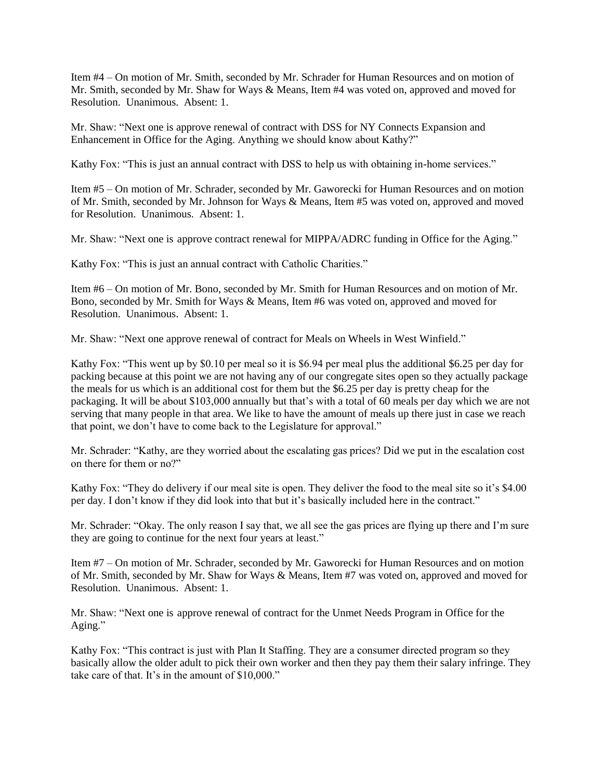Item #4 – On motion of Mr. Smith, seconded by Mr. Schrader for Human Resources and on motion of Mr. Smith, seconded by Mr. Shaw for Ways & Means, Item #4 was voted on, approved and moved for Resolution. Unanimous. Absent: 1.

Mr. Shaw: "Next one is approve renewal of contract with DSS for NY Connects Expansion and Enhancement in Office for the Aging. Anything we should know about Kathy?"

Kathy Fox: "This is just an annual contract with DSS to help us with obtaining in-home services."

Item #5 – On motion of Mr. Schrader, seconded by Mr. Gaworecki for Human Resources and on motion of Mr. Smith, seconded by Mr. Johnson for Ways & Means, Item #5 was voted on, approved and moved for Resolution. Unanimous. Absent: 1.

Mr. Shaw: "Next one is approve contract renewal for MIPPA/ADRC funding in Office for the Aging."

Kathy Fox: "This is just an annual contract with Catholic Charities."

Item #6 – On motion of Mr. Bono, seconded by Mr. Smith for Human Resources and on motion of Mr. Bono, seconded by Mr. Smith for Ways & Means, Item #6 was voted on, approved and moved for Resolution. Unanimous. Absent: 1.

Mr. Shaw: "Next one approve renewal of contract for Meals on Wheels in West Winfield."

Kathy Fox: "This went up by \$0.10 per meal so it is \$6.94 per meal plus the additional \$6.25 per day for packing because at this point we are not having any of our congregate sites open so they actually package the meals for us which is an additional cost for them but the \$6.25 per day is pretty cheap for the packaging. It will be about \$103,000 annually but that's with a total of 60 meals per day which we are not serving that many people in that area. We like to have the amount of meals up there just in case we reach that point, we don't have to come back to the Legislature for approval."

Mr. Schrader: "Kathy, are they worried about the escalating gas prices? Did we put in the escalation cost on there for them or no?"

Kathy Fox: "They do delivery if our meal site is open. They deliver the food to the meal site so it's \$4.00 per day. I don't know if they did look into that but it's basically included here in the contract."

Mr. Schrader: "Okay. The only reason I say that, we all see the gas prices are flying up there and I'm sure they are going to continue for the next four years at least."

Item #7 – On motion of Mr. Schrader, seconded by Mr. Gaworecki for Human Resources and on motion of Mr. Smith, seconded by Mr. Shaw for Ways & Means, Item #7 was voted on, approved and moved for Resolution. Unanimous. Absent: 1.

Mr. Shaw: "Next one is approve renewal of contract for the Unmet Needs Program in Office for the Aging."

Kathy Fox: "This contract is just with Plan It Staffing. They are a consumer directed program so they basically allow the older adult to pick their own worker and then they pay them their salary infringe. They take care of that. It's in the amount of \$10,000."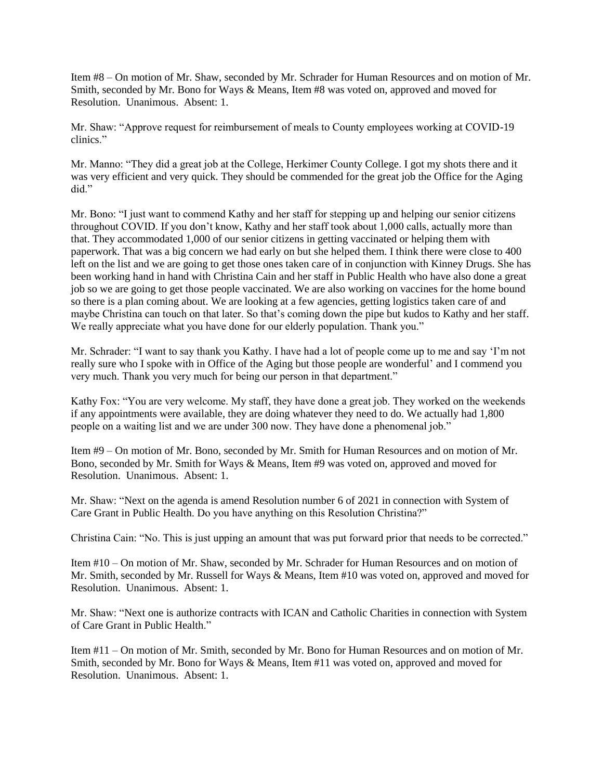Item #8 – On motion of Mr. Shaw, seconded by Mr. Schrader for Human Resources and on motion of Mr. Smith, seconded by Mr. Bono for Ways & Means, Item #8 was voted on, approved and moved for Resolution. Unanimous. Absent: 1.

Mr. Shaw: "Approve request for reimbursement of meals to County employees working at COVID-19 clinics."

Mr. Manno: "They did a great job at the College, Herkimer County College. I got my shots there and it was very efficient and very quick. They should be commended for the great job the Office for the Aging did."

Mr. Bono: "I just want to commend Kathy and her staff for stepping up and helping our senior citizens throughout COVID. If you don't know, Kathy and her staff took about 1,000 calls, actually more than that. They accommodated 1,000 of our senior citizens in getting vaccinated or helping them with paperwork. That was a big concern we had early on but she helped them. I think there were close to 400 left on the list and we are going to get those ones taken care of in conjunction with Kinney Drugs. She has been working hand in hand with Christina Cain and her staff in Public Health who have also done a great job so we are going to get those people vaccinated. We are also working on vaccines for the home bound so there is a plan coming about. We are looking at a few agencies, getting logistics taken care of and maybe Christina can touch on that later. So that's coming down the pipe but kudos to Kathy and her staff. We really appreciate what you have done for our elderly population. Thank you."

Mr. Schrader: "I want to say thank you Kathy. I have had a lot of people come up to me and say 'I'm not really sure who I spoke with in Office of the Aging but those people are wonderful' and I commend you very much. Thank you very much for being our person in that department."

Kathy Fox: "You are very welcome. My staff, they have done a great job. They worked on the weekends if any appointments were available, they are doing whatever they need to do. We actually had 1,800 people on a waiting list and we are under 300 now. They have done a phenomenal job."

Item #9 – On motion of Mr. Bono, seconded by Mr. Smith for Human Resources and on motion of Mr. Bono, seconded by Mr. Smith for Ways & Means, Item #9 was voted on, approved and moved for Resolution. Unanimous. Absent: 1.

Mr. Shaw: "Next on the agenda is amend Resolution number 6 of 2021 in connection with System of Care Grant in Public Health. Do you have anything on this Resolution Christina?"

Christina Cain: "No. This is just upping an amount that was put forward prior that needs to be corrected."

Item #10 – On motion of Mr. Shaw, seconded by Mr. Schrader for Human Resources and on motion of Mr. Smith, seconded by Mr. Russell for Ways & Means, Item #10 was voted on, approved and moved for Resolution. Unanimous. Absent: 1.

Mr. Shaw: "Next one is authorize contracts with ICAN and Catholic Charities in connection with System of Care Grant in Public Health."

Item #11 – On motion of Mr. Smith, seconded by Mr. Bono for Human Resources and on motion of Mr. Smith, seconded by Mr. Bono for Ways & Means, Item #11 was voted on, approved and moved for Resolution. Unanimous. Absent: 1.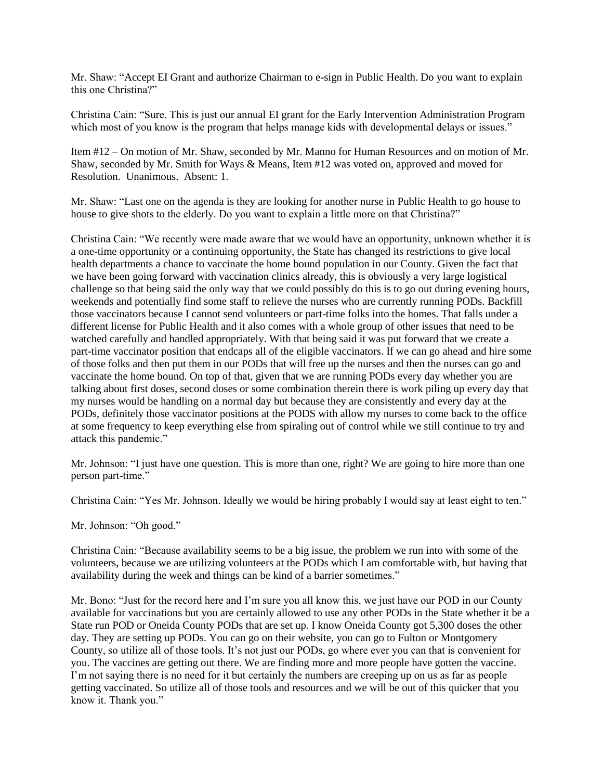Mr. Shaw: "Accept EI Grant and authorize Chairman to e-sign in Public Health. Do you want to explain this one Christina?"

Christina Cain: "Sure. This is just our annual EI grant for the Early Intervention Administration Program which most of you know is the program that helps manage kids with developmental delays or issues."

Item #12 – On motion of Mr. Shaw, seconded by Mr. Manno for Human Resources and on motion of Mr. Shaw, seconded by Mr. Smith for Ways & Means, Item #12 was voted on, approved and moved for Resolution. Unanimous. Absent: 1.

Mr. Shaw: "Last one on the agenda is they are looking for another nurse in Public Health to go house to house to give shots to the elderly. Do you want to explain a little more on that Christina?"

Christina Cain: "We recently were made aware that we would have an opportunity, unknown whether it is a one-time opportunity or a continuing opportunity, the State has changed its restrictions to give local health departments a chance to vaccinate the home bound population in our County. Given the fact that we have been going forward with vaccination clinics already, this is obviously a very large logistical challenge so that being said the only way that we could possibly do this is to go out during evening hours, weekends and potentially find some staff to relieve the nurses who are currently running PODs. Backfill those vaccinators because I cannot send volunteers or part-time folks into the homes. That falls under a different license for Public Health and it also comes with a whole group of other issues that need to be watched carefully and handled appropriately. With that being said it was put forward that we create a part-time vaccinator position that endcaps all of the eligible vaccinators. If we can go ahead and hire some of those folks and then put them in our PODs that will free up the nurses and then the nurses can go and vaccinate the home bound. On top of that, given that we are running PODs every day whether you are talking about first doses, second doses or some combination therein there is work piling up every day that my nurses would be handling on a normal day but because they are consistently and every day at the PODs, definitely those vaccinator positions at the PODS with allow my nurses to come back to the office at some frequency to keep everything else from spiraling out of control while we still continue to try and attack this pandemic."

Mr. Johnson: "I just have one question. This is more than one, right? We are going to hire more than one person part-time."

Christina Cain: "Yes Mr. Johnson. Ideally we would be hiring probably I would say at least eight to ten."

Mr. Johnson: "Oh good."

Christina Cain: "Because availability seems to be a big issue, the problem we run into with some of the volunteers, because we are utilizing volunteers at the PODs which I am comfortable with, but having that availability during the week and things can be kind of a barrier sometimes."

Mr. Bono: "Just for the record here and I'm sure you all know this, we just have our POD in our County available for vaccinations but you are certainly allowed to use any other PODs in the State whether it be a State run POD or Oneida County PODs that are set up. I know Oneida County got 5,300 doses the other day. They are setting up PODs. You can go on their website, you can go to Fulton or Montgomery County, so utilize all of those tools. It's not just our PODs, go where ever you can that is convenient for you. The vaccines are getting out there. We are finding more and more people have gotten the vaccine. I'm not saying there is no need for it but certainly the numbers are creeping up on us as far as people getting vaccinated. So utilize all of those tools and resources and we will be out of this quicker that you know it. Thank you."